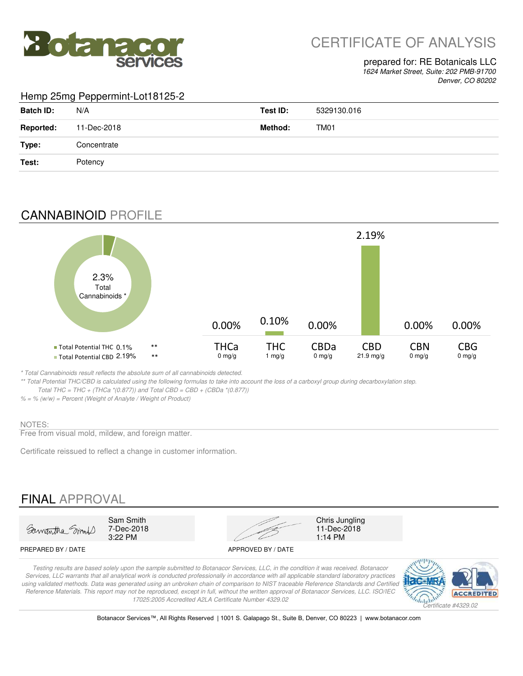

# CERTIFICATE OF ANALYSIS

### prepared for: RE Botanicals LLC

*1624 Market Street, Suite: 202 PMB-91700 Denver, CO 80202*

### Hemp 25mg Peppermint-Lot18125-2

| <b>Batch ID:</b> | N/A         | Test ID: | 5329130.016 |
|------------------|-------------|----------|-------------|
| <b>Reported:</b> | 11-Dec-2018 | Method:  | TM01        |
| Type:            | Concentrate |          |             |
| Test:            | Potency     |          |             |

### CANNABINOID PROFILE



*\* Total Cannabinoids result reflects the absolute sum of all cannabinoids detected.*

*\*\* Total Potential THC/CBD is calculated using the following formulas to take into account the loss of a carboxyl group during decarboxylation step. Total THC = THC + (THCa \*(0.877)) and Total CBD = CBD + (CBDa \*(0.877))*

*% = % (w/w) = Percent (Weight of Analyte / Weight of Product)*

#### NOTES:

Free from visual mold, mildew, and foreign matter.

Certificate reissued to reflect a change in customer information.

## FINAL APPROVAL



7-Dec-2018<br>3:22 PM



11-Dec-2018<br>1:14 PM

#### PREPARED BY / DATE APPROVED BY / DATE

*Testing results are based solely upon the sample submitted to Botanacor Services, LLC, in the condition it was received. Botanacor Services, LLC warrants that all analytical work is conducted professionally in accordance with all applicable standard laboratory practices*  using validated methods. Data was generated using an unbroken chain of comparison to NIST traceable Reference Standards and Certified *Reference Materials. This report may not be reproduced, except in full, without the written approval of Botanacor Services, LLC. ISO/IEC 17025:2005 Accredited A2LA Certificate Number 4329.02*



Botanacor Services™, All Rights Reserved | 1001 S. Galapago St., Suite B, Denver, CO 80223 | www.botanacor.com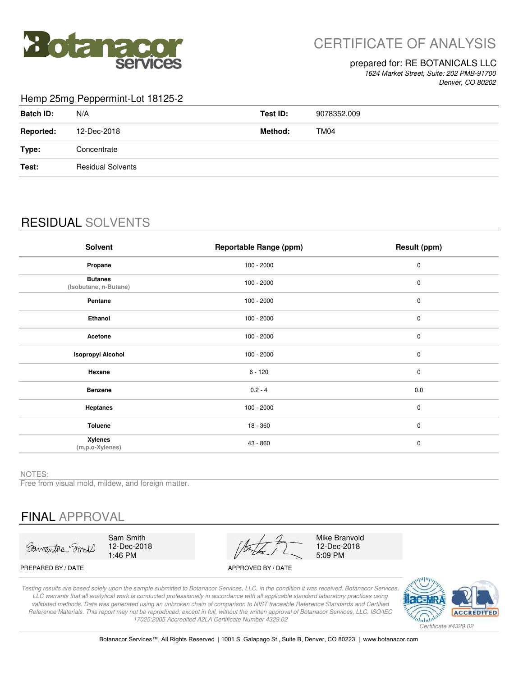

# CERTIFICATE OF ANALYSIS

### prepared for: RE BOTANICALS LLC

*1624 Market Street, Suite: 202 PMB-91700 Denver, CO 80202*

#### Hemp 25mg Peppermint-Lot 18125-2

| <b>Batch ID:</b> | N/A                      | Test ID: | 9078352.009 |
|------------------|--------------------------|----------|-------------|
| <b>Reported:</b> | 12-Dec-2018              | Method:  | TM04        |
| Type:            | Concentrate              |          |             |
| Test:            | <b>Residual Solvents</b> |          |             |
|                  |                          |          |             |

## RESIDUAL SOLVENTS

| <b>Solvent</b>                          | <b>Reportable Range (ppm)</b> | Result (ppm) |
|-----------------------------------------|-------------------------------|--------------|
| Propane                                 | $100 - 2000$                  | $\mathbf 0$  |
| <b>Butanes</b><br>(Isobutane, n-Butane) | $100 - 2000$                  | $\pmb{0}$    |
| Pentane                                 | $100 - 2000$                  | $\pmb{0}$    |
| Ethanol                                 | $100 - 2000$                  | 0            |
| Acetone                                 | $100 - 2000$                  | $\mathbf 0$  |
| <b>Isopropyl Alcohol</b>                | $100 - 2000$                  | $\pmb{0}$    |
| Hexane                                  | $6 - 120$                     | $\mathbf 0$  |
| <b>Benzene</b>                          | $0.2 - 4$                     | 0.0          |
| Heptanes                                | $100 - 2000$                  | $\pmb{0}$    |
| Toluene                                 | $18 - 360$                    | $\mathbf 0$  |
| <b>Xylenes</b><br>(m,p,o-Xylenes)       | 43 - 860                      | $\pmb{0}$    |

NOTES:

Free from visual mold, mildew, and foreign matter.

# FINAL APPROVAL

Sawantha Smit

Sam Smith 12-Dec-2018 1:46 PM

PREPARED BY / DATE APPROVED BY / DATE 5:09 PM

Mike Branvold 12-Dec-2018

*Testing results are based solely upon the sample submitted to Botanacor Services, LLC, in the condition it was received. Botanacor Services, LLC warrants that all analytical work is conducted professionally in accordance with all applicable standard laboratory practices using validated methods. Data was generated using an unbroken chain of comparison to NIST traceable Reference Standards and Certified Reference Materials. This report may not be reproduced, except in full, without the written approval of Botanacor Services, LLC. ISO/IEC 17025:2005 Accredited A2LA Certificate Number 4329.02*



Botanacor Services™, All Rights Reserved | 1001 S. Galapago St., Suite B, Denver, CO 80223 | www.botanacor.com